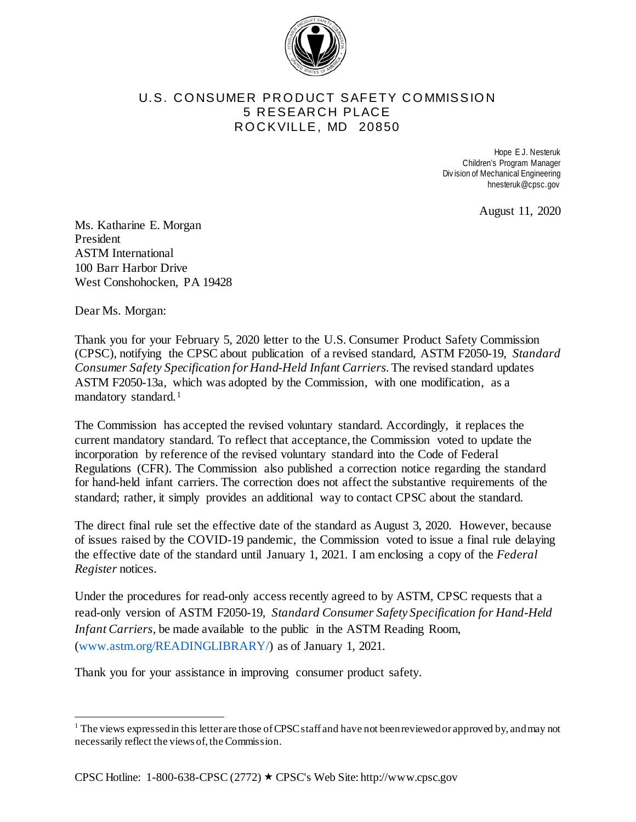

## U.S. CONSUMER PRODUCT SAFETY COMMISSION 5 RESEARCH PLACE ROCKVILLE, MD 20850

Hope E J. Nesteruk Children's Program Manager Div ision of Mechanical Engineering hnesteruk@cpsc.gov

August 11, 2020

Ms. Katharine E. Morgan President ASTM International 100 Barr Harbor Drive West Conshohocken, PA 19428

Dear Ms. Morgan:

Thank you for your February 5, 2020 letter to the U.S. Consumer Product Safety Commission (CPSC), notifying the CPSC about publication of a revised standard, ASTM F2050-19, *Standard Consumer Safety Specification for Hand-Held Infant Carriers.* The revised standard updates ASTM F2050-13a, which was adopted by the Commission, with one modification, as a mandatory standard.[1](#page-0-0)

The Commission has accepted the revised voluntary standard. Accordingly, it replaces the current mandatory standard. To reflect that acceptance, the Commission voted to update the incorporation by reference of the revised voluntary standard into the Code of Federal Regulations (CFR). The Commission also published a correction notice regarding the standard for hand-held infant carriers. The correction does not affect the substantive requirements of the standard; rather, it simply provides an additional way to contact CPSC about the standard.

The direct final rule set the effective date of the standard as August 3, 2020. However, because of issues raised by the COVID-19 pandemic, the Commission voted to issue a final rule delaying the effective date of the standard until January 1, 2021. I am enclosing a copy of the *Federal Register* notices.

Under the procedures for read-only access recently agreed to by ASTM, CPSC requests that a read-only version of ASTM F2050-19, *Standard Consumer Safety Specification for Hand-Held Infant Carriers,* be made available to the public in the ASTM Reading Room, (www.astm.org/READINGLIBRARY/) as of January 1, 2021.

Thank you for your assistance in improving consumer product safety.

<span id="page-0-0"></span><sup>&</sup>lt;sup>1</sup> The views expressed in this letter are those of CPSC staff and have not been reviewed or approved by, and may not necessarily reflect the views of, the Commission.